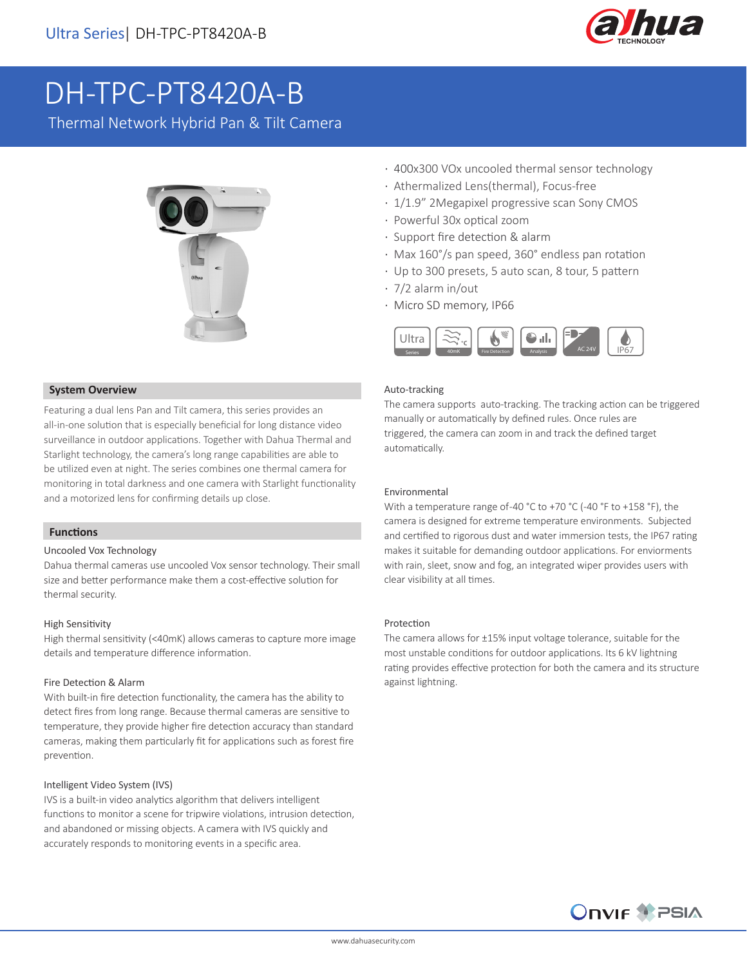

# DH-TPC-PT8420A-B

Thermal Network Hybrid Pan & Tilt Camera



### **System Overview**

Featuring a dual lens Pan and Tilt camera, this series provides an all-in-one solution that is especially beneficial for long distance video surveillance in outdoor applications. Together with Dahua Thermal and Starlight technology, the camera's long range capabilities are able to be utilized even at night. The series combines one thermal camera for monitoring in total darkness and one camera with Starlight functionality and a motorized lens for confirming details up close.

### **Functions**

### Uncooled Vox Technology

Dahua thermal cameras use uncooled Vox sensor technology. Their small size and better performance make them a cost-effective solution for thermal security.

### High Sensitivity

High thermal sensitivity (<40mK) allows cameras to capture more image details and temperature difference information.

### Fire Detection & Alarm

With built-in fire detection functionality, the camera has the ability to detect fires from long range. Because thermal cameras are sensitive to temperature, they provide higher fire detection accuracy than standard cameras, making them particularly fit for applications such as forest fire prevention.

### Intelligent Video System (IVS)

IVS is a built-in video analytics algorithm that delivers intelligent functions to monitor a scene for tripwire violations, intrusion detection, and abandoned or missing objects. A camera with IVS quickly and accurately responds to monitoring events in a specific area.

- · 400x300 VOx uncooled thermal sensor technology
- · Athermalized Lens(thermal), Focus-free
- · 1/1.9" 2Megapixel progressive scan Sony CMOS
- · Powerful 30x optical zoom
- · Support fire detection & alarm
- · Max 160°/s pan speed, 360° endless pan rotation
- · Up to 300 presets, 5 auto scan, 8 tour, 5 pattern
- · 7/2 alarm in/out
- · Micro SD memory, IP66



### Auto-tracking

The camera supports auto-tracking. The tracking action can be triggered manually or automatically by defined rules. Once rules are triggered, the camera can zoom in and track the defined target automatically.

### Environmental

With a temperature range of-40 °C to +70 °C (-40 °F to +158 °F), the camera is designed for extreme temperature environments. Subjected and certified to rigorous dust and water immersion tests, the IP67 rating makes it suitable for demanding outdoor applications. For enviorments with rain, sleet, snow and fog, an integrated wiper provides users with clear visibility at all times.

### Protection

The camera allows for ±15% input voltage tolerance, suitable for the most unstable conditions for outdoor applications. Its 6 kV lightning rating provides effective protection for both the camera and its structure against lightning.

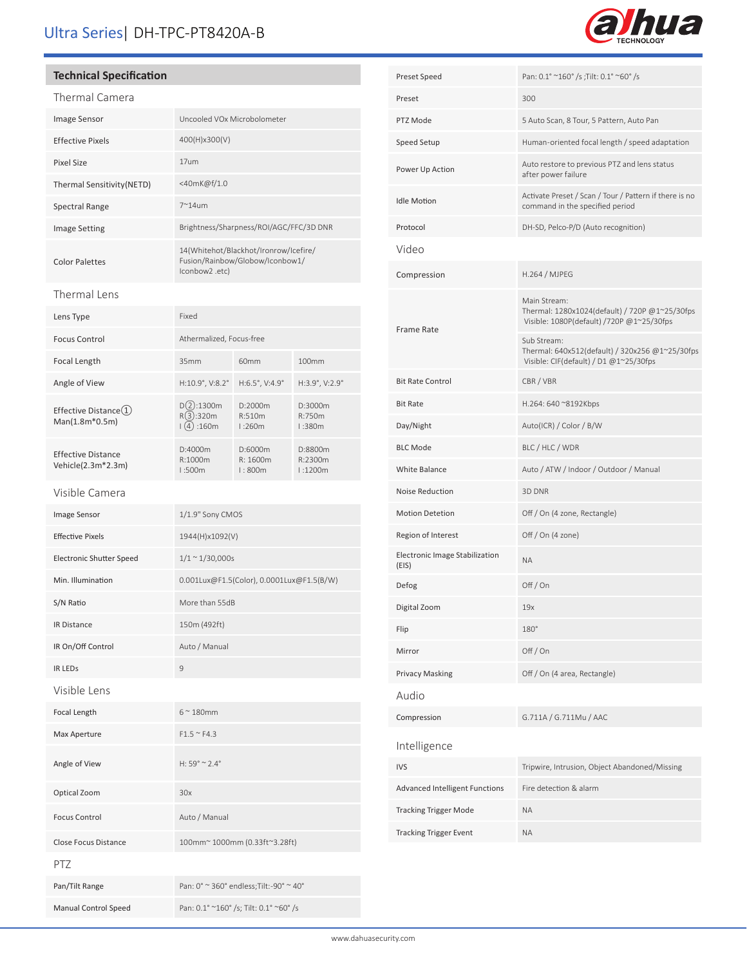## Ultra Series| DH-TPC-PT8420A-B



### **Technical Specification**

| Thermal Camera                                  |                                                                                            |                              |                               |  |
|-------------------------------------------------|--------------------------------------------------------------------------------------------|------------------------------|-------------------------------|--|
| <b>Image Sensor</b>                             | Uncooled VOx Microbolometer                                                                |                              |                               |  |
| <b>Effective Pixels</b>                         | 400(H)x300(V)                                                                              |                              |                               |  |
| Pixel Size                                      | 17um                                                                                       |                              |                               |  |
| Thermal Sensitivity(NETD)                       | <40mK@f/1.0                                                                                |                              |                               |  |
| <b>Spectral Range</b>                           | $7^{\sim}$ 14um                                                                            |                              |                               |  |
| <b>Image Setting</b>                            | Brightness/Sharpness/ROI/AGC/FFC/3D DNR                                                    |                              |                               |  |
| <b>Color Palettes</b>                           | 14(Whitehot/Blackhot/Ironrow/Icefire/<br>Fusion/Rainbow/Globow/Iconbow1/<br>lconbow2 .etc) |                              |                               |  |
| Thermal Lens                                    |                                                                                            |                              |                               |  |
| Lens Type                                       | Fixed                                                                                      |                              |                               |  |
| <b>Focus Control</b>                            | Athermalized, Focus-free                                                                   |                              |                               |  |
| Focal Length                                    | 35mm                                                                                       | 60mm                         | 100mm                         |  |
| Angle of View                                   | H:10.9°, V:8.2°                                                                            | H:6.5°, V:4.9°               | H:3.9°, V:2.9°                |  |
| Effective Distance $(1)$<br>Man(1.8m*0.5m)      | D(2):1300m<br>R(3):320m<br>(4) : 160m                                                      | D:2000m<br>R:510m<br>1:260m  | D:3000m<br>R:750m<br>1:380m   |  |
| <b>Effective Distance</b><br>Vehicle(2.3m*2.3m) | D:4000m<br>R:1000m<br>1:500m                                                               | D:6000m<br>R:1600m<br>1:800m | D:8800m<br>R:2300m<br>1:1200m |  |
| Visible Camera                                  |                                                                                            |                              |                               |  |
| Image Sensor                                    | 1/1.9" Sony CMOS                                                                           |                              |                               |  |
| <b>Effective Pixels</b>                         | 1944(H)x1092(V)                                                                            |                              |                               |  |

| Preset                                  | 300                                                                                                         |
|-----------------------------------------|-------------------------------------------------------------------------------------------------------------|
| PTZ Mode                                | 5 Auto Scan, 8 Tour, 5 Pattern, Auto Pan                                                                    |
| Speed Setup                             | Human-oriented focal length / speed adaptation                                                              |
| Power Up Action                         | Auto restore to previous PTZ and lens status<br>after power failure                                         |
| <b>Idle Motion</b>                      | Activate Preset / Scan / Tour / Pattern if there is no<br>command in the specified period                   |
| Protocol                                | DH-SD, Pelco-P/D (Auto recognition)                                                                         |
| Video                                   |                                                                                                             |
| Compression                             | <b>H.264 / MJPEG</b>                                                                                        |
| Frame Rate                              | Main Stream:<br>Thermal: 1280x1024(default) / 720P @1~25/30fps<br>Visible: 1080P(default) /720P @1~25/30fps |
|                                         | Sub Stream:<br>Thermal: 640x512(default) / 320x256 @1~25/30fps<br>Visible: CIF(default) / D1 @1~25/30fps    |
| <b>Bit Rate Control</b>                 | CBR / VBR                                                                                                   |
| <b>Bit Rate</b>                         | H.264: 640 ~8192Kbps                                                                                        |
| Day/Night                               | Auto(ICR) / Color / B/W                                                                                     |
| <b>BLC Mode</b>                         | BLC / HLC / WDR                                                                                             |
| White Balance                           | Auto / ATW / Indoor / Outdoor / Manual                                                                      |
| Noise Reduction                         | 3D DNR                                                                                                      |
| <b>Motion Detetion</b>                  | Off / On (4 zone, Rectangle)                                                                                |
| Region of Interest                      | Off / On (4 zone)                                                                                           |
| Electronic Image Stabilization<br>(EIS) | <b>NA</b>                                                                                                   |
| Defog                                   | Off $/$ On                                                                                                  |
| Digital Zoom                            | 19x                                                                                                         |
| Flip                                    | 180°                                                                                                        |
| Mirror                                  | Off / On                                                                                                    |
| <b>Privacy Masking</b>                  | Off / On (4 area, Rectangle)                                                                                |
| Audio                                   |                                                                                                             |
| Compression                             | G.711A / G.711Mu / AAC                                                                                      |
| Intelligence                            |                                                                                                             |
| <b>IVS</b>                              | Tripwire, Intrusion, Object Abandoned/Missing                                                               |
| Advanced Intelligent Functions          | Fire detection & alarm                                                                                      |
| <b>Tracking Trigger Mode</b>            | <b>ΝΑ</b>                                                                                                   |
| <b>Tracking Trigger Event</b>           | <b>ΝΑ</b>                                                                                                   |
|                                         |                                                                                                             |

Preset Speed Pan: 0.1° ~160° /s ;Tilt: 0.1° ~60° /s

| <b>Electronic Shutter Speed</b> | $1/1 \sim 1/30,000s$                      |
|---------------------------------|-------------------------------------------|
| Min. Illumination               | 0.001Lux@F1.5(Color), 0.0001Lux@F1.5(B/W) |
| S/N Ratio                       | More than 55dB                            |
| <b>IR Distance</b>              | 150m (492ft)                              |
| IR On/Off Control               | Auto / Manual                             |
| <b>IR LEDS</b>                  | 9                                         |
| Visible Lens                    |                                           |
| Focal Length                    | $6^\sim 180$ mm                           |
| Max Aperture                    | $F1.5 \sim F4.3$                          |
| Angle of View                   | $H: 59^{\circ} \approx 2.4^{\circ}$       |
| Optical Zoom                    | 30x                                       |
| <b>Focus Control</b>            | Auto / Manual                             |
| <b>Close Focus Distance</b>     | 100mm~ 1000mm (0.33ft~3.28ft)             |
| <b>PTZ</b>                      |                                           |
| Pan/Tilt Range                  | Pan: 0° ~ 360° endless; Tilt: -90° ~ 40°  |
| <b>Manual Control Speed</b>     | Pan: 0.1° ~160° /s; Tilt: 0.1° ~60° /s    |